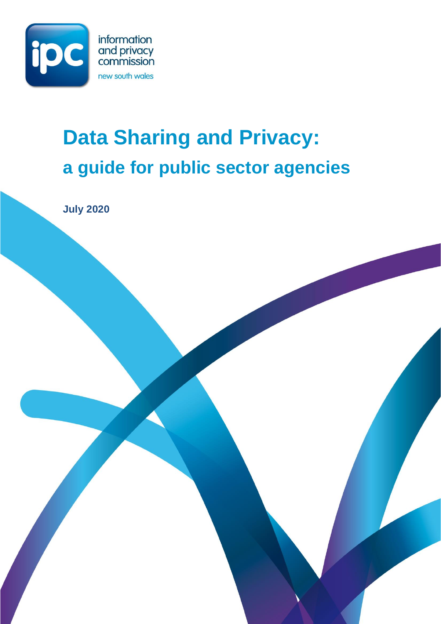

# **Data Sharing and Privacy: a guide for public sector agencies**

**July 2020**

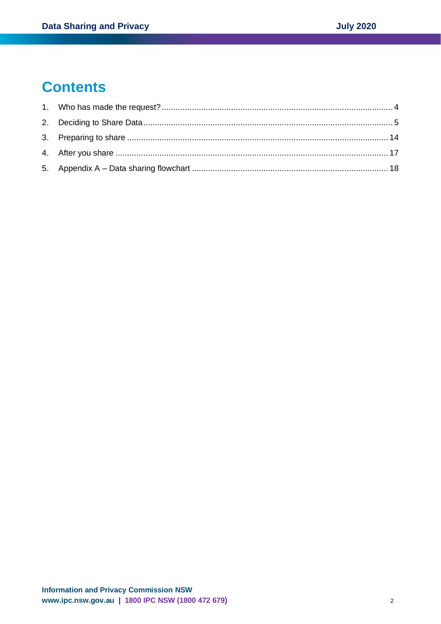# **Contents**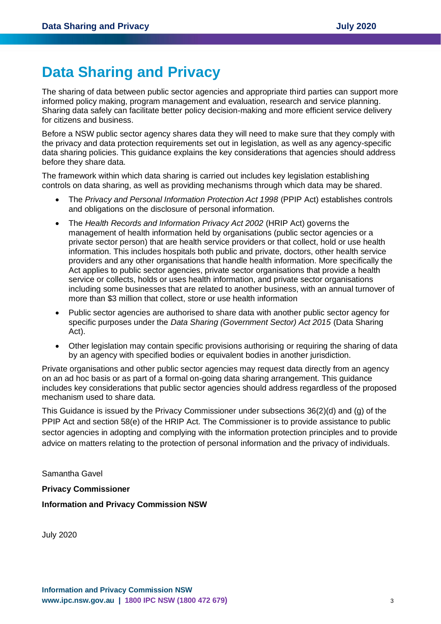# **Data Sharing and Privacy**

The sharing of data between public sector agencies and appropriate third parties can support more informed policy making, program management and evaluation, research and service planning. Sharing data safely can facilitate better policy decision-making and more efficient service delivery for citizens and business.

Before a NSW public sector agency shares data they will need to make sure that they comply with the privacy and data protection requirements set out in legislation, as well as any agency-specific data sharing policies. This guidance explains the key considerations that agencies should address before they share data.

The framework within which data sharing is carried out includes key legislation establishing controls on data sharing, as well as providing mechanisms through which data may be shared.

- The *Privacy and Personal Information Protection Act 1998* (PPIP Act) establishes controls and obligations on the disclosure of personal information.
- The *Health Records and Information Privacy Act 2002* (HRIP Act) governs the management of health information held by organisations (public sector agencies or a private sector person) that are health service providers or that collect, hold or use health information. This includes hospitals both public and private, doctors, other health service providers and any other organisations that handle health information. More specifically the Act applies to public sector agencies, private sector organisations that provide a health service or collects, holds or uses health information, and private sector organisations including some businesses that are related to another business, with an annual turnover of more than \$3 million that collect, store or use health information
- Public sector agencies are authorised to share data with another public sector agency for specific purposes under the *Data Sharing (Government Sector) Act 2015* (Data Sharing Act).
- Other legislation may contain specific provisions authorising or requiring the sharing of data by an agency with specified bodies or equivalent bodies in another jurisdiction.

Private organisations and other public sector agencies may request data directly from an agency on an ad hoc basis or as part of a formal on-going data sharing arrangement. This guidance includes key considerations that public sector agencies should address regardless of the proposed mechanism used to share data.

This Guidance is issued by the Privacy Commissioner under subsections 36(2)(d) and (g) of the PPIP Act and section 58(e) of the HRIP Act. The Commissioner is to provide assistance to public sector agencies in adopting and complying with the information protection principles and to provide advice on matters relating to the protection of personal information and the privacy of individuals.

Samantha Gavel

#### **Privacy Commissioner**

**Information and Privacy Commission NSW**

July 2020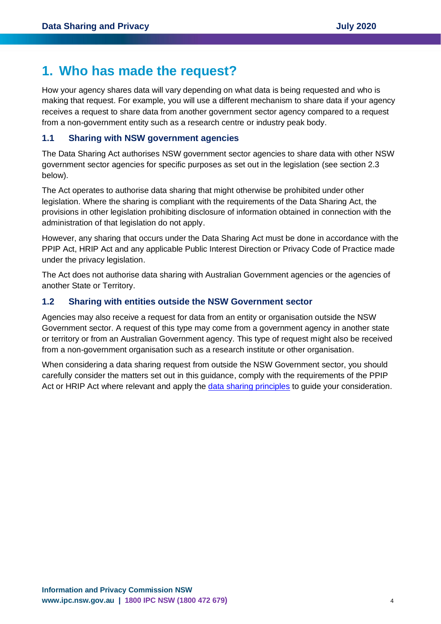# <span id="page-3-0"></span>**1. Who has made the request?**

How your agency shares data will vary depending on what data is being requested and who is making that request. For example, you will use a different mechanism to share data if your agency receives a request to share data from another government sector agency compared to a request from a non-government entity such as a research centre or industry peak body.

# **1.1 Sharing with NSW government agencies**

The Data Sharing Act authorises NSW government sector agencies to share data with other NSW government sector agencies for specific purposes as set out in the legislation (see section 2.3 below).

The Act operates to authorise data sharing that might otherwise be prohibited under other legislation. Where the sharing is compliant with the requirements of the Data Sharing Act, the provisions in other legislation prohibiting disclosure of information obtained in connection with the administration of that legislation do not apply.

However, any sharing that occurs under the Data Sharing Act must be done in accordance with the PPIP Act, HRIP Act and any applicable Public Interest Direction or Privacy Code of Practice made under the privacy legislation.

The Act does not authorise data sharing with Australian Government agencies or the agencies of another State or Territory.

# **1.2 Sharing with entities outside the NSW Government sector**

Agencies may also receive a request for data from an entity or organisation outside the NSW Government sector. A request of this type may come from a government agency in another state or territory or from an Australian Government agency. This type of request might also be received from a non-government organisation such as a research institute or other organisation.

When considering a data sharing request from outside the NSW Government sector, you should carefully consider the matters set out in this guidance, comply with the requirements of the PPIP Act or HRIP Act where relevant and apply the [data sharing principles](https://data.nsw.gov.au/data-sharing-principles) to guide your consideration.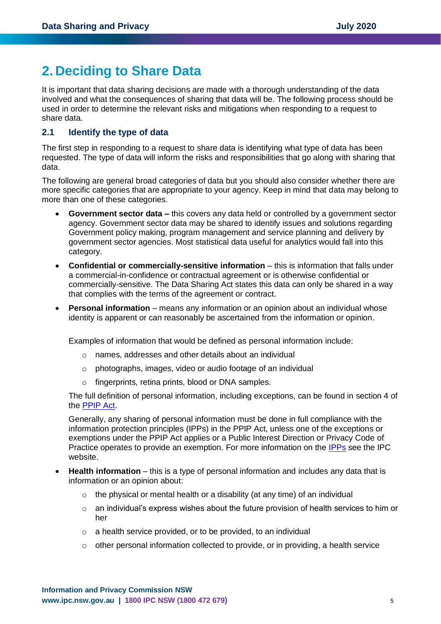# <span id="page-4-0"></span>**2. Deciding to Share Data**

It is important that data sharing decisions are made with a thorough understanding of the data involved and what the consequences of sharing that data will be. The following process should be used in order to determine the relevant risks and mitigations when responding to a request to share data.

### **2.1 Identify the type of data**

The first step in responding to a request to share data is identifying what type of data has been requested. The type of data will inform the risks and responsibilities that go along with sharing that data.

The following are general broad categories of data but you should also consider whether there are more specific categories that are appropriate to your agency. Keep in mind that data may belong to more than one of these categories.

- **Government sector data –** this covers any data held or controlled by a government sector agency. Government sector data may be shared to identify issues and solutions regarding Government policy making, program management and service planning and delivery by government sector agencies. Most statistical data useful for analytics would fall into this category.
- **Confidential or commercially-sensitive information** this is information that falls under a commercial-in-confidence or contractual agreement or is otherwise confidential or commercially-sensitive. The Data Sharing Act states this data can only be shared in a way that complies with the terms of the agreement or contract.
- **Personal information** means any information or an opinion about an individual whose identity is apparent or can reasonably be ascertained from the information or opinion.

Examples of information that would be defined as personal information include:

- o names, addresses and other details about an individual
- o photographs, images, video or audio footage of an individual
- fingerprints, retina prints, blood or DNA samples.

The full definition of personal information, including exceptions, can be found in section 4 of the [PPIP](https://www.legislation.nsw.gov.au/#/view/act/1998/133/full) Act.

Generally, any sharing of personal information must be done in full compliance with the information protection principles (IPPs) in the PPIP Act, unless one of the exceptions or exemptions under the PPIP Act applies or a Public Interest Direction or Privacy Code of Practice operates to provide an exemption. For more information on the [IPPs](https://www.ipc.nsw.gov.au/sites/default/files/file_manager/Fact_Sheet_IPPs.pdf) see the IPC website.

- **Health information** this is a type of personal information and includes any data that is information or an opinion about:
	- $\circ$  the physical or mental health or a disability (at any time) of an individual
	- $\circ$  an individual's express wishes about the future provision of health services to him or her
	- o a health service provided, or to be provided, to an individual
	- $\circ$  other personal information collected to provide, or in providing, a health service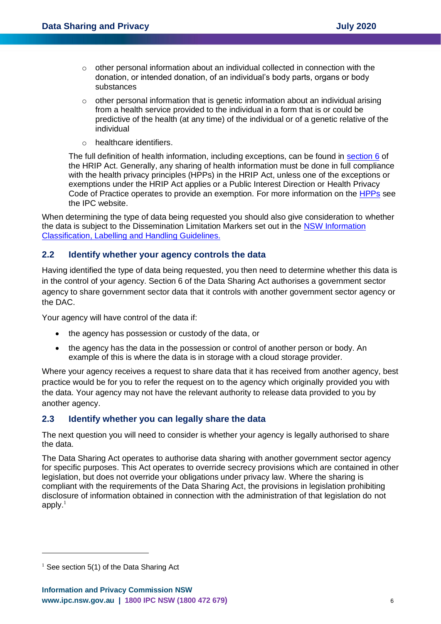- o other personal information about an individual collected in connection with the donation, or intended donation, of an individual's body parts, organs or body substances
- o other personal information that is genetic information about an individual arising from a health service provided to the individual in a form that is or could be predictive of the health (at any time) of the individual or of a genetic relative of the individual
- o healthcare identifiers.

The full definition of health information, including exceptions, can be found in [section 6](https://www.legislation.nsw.gov.au/#/view/act/2002/71/part1/sec6) of the HRIP Act. Generally, any sharing of health information must be done in full compliance with the health privacy principles (HPPs) in the HRIP Act, unless one of the exceptions or exemptions under the HRIP Act applies or a Public Interest Direction or Health Privacy Code of Practice operates to provide an exemption. For more information on the [HPPs](https://www.ipc.nsw.gov.au/sites/default/files/2019-08/Fact_Sheet_HPPs_for_agencies_August_2019.pdf) see the IPC website.

When determining the type of data being requested you should also give consideration to whether the data is subject to the Dissemination Limitation Markers set out in the [NSW Information](https://www.digital.nsw.gov.au/policy/managing-data-information/information-classification-handling-and-labeling-guidelines)  [Classification, Labelling](https://www.digital.nsw.gov.au/policy/managing-data-information/information-classification-handling-and-labeling-guidelines) and Handling Guidelines.

# **2.2 Identify whether your agency controls the data**

Having identified the type of data being requested, you then need to determine whether this data is in the control of your agency. Section 6 of the Data Sharing Act authorises a government sector agency to share government sector data that it controls with another government sector agency or the DAC.

Your agency will have control of the data if:

- the agency has possession or custody of the data, or
- the agency has the data in the possession or control of another person or body. An example of this is where the data is in storage with a cloud storage provider.

Where your agency receives a request to share data that it has received from another agency, best practice would be for you to refer the request on to the agency which originally provided you with the data. Your agency may not have the relevant authority to release data provided to you by another agency.

# **2.3 Identify whether you can legally share the data**

The next question you will need to consider is whether your agency is legally authorised to share the data.

The Data Sharing Act operates to authorise data sharing with another government sector agency for specific purposes. This Act operates to override secrecy provisions which are contained in other legislation, but does not override your obligations under privacy law. Where the sharing is compliant with the requirements of the Data Sharing Act, the provisions in legislation prohibiting disclosure of information obtained in connection with the administration of that legislation do not apply. $1$ 

 $1$  See section 5(1) of the Data Sharing Act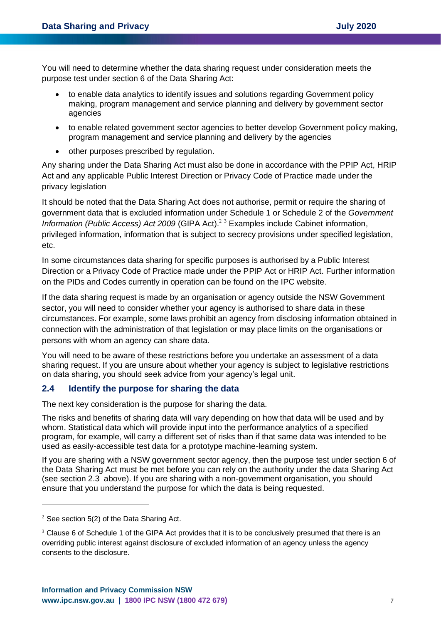You will need to determine whether the data sharing request under consideration meets the purpose test under section 6 of the Data Sharing Act:

- to enable data analytics to identify issues and solutions regarding Government policy making, program management and service planning and delivery by government sector agencies
- to enable related government sector agencies to better develop Government policy making, program management and service planning and delivery by the agencies
- other purposes prescribed by regulation.

Any sharing under the Data Sharing Act must also be done in accordance with the PPIP Act, HRIP Act and any applicable Public Interest Direction or Privacy Code of Practice made under the privacy legislation

It should be noted that the Data Sharing Act does not authorise, permit or require the sharing of government data that is excluded information under Schedule 1 or Schedule 2 of the *Government Information (Public Access) Act 2009* (GIPA Act). <sup>2</sup> <sup>3</sup> Examples include Cabinet information, privileged information, information that is subject to secrecy provisions under specified legislation, etc.

In some circumstances data sharing for specific purposes is authorised by a Public Interest Direction or a Privacy Code of Practice made under the PPIP Act or HRIP Act. Further information on the PIDs and Codes currently in operation can be found on the IPC website.

If the data sharing request is made by an organisation or agency outside the NSW Government sector, you will need to consider whether your agency is authorised to share data in these circumstances. For example, some laws prohibit an agency from disclosing information obtained in connection with the administration of that legislation or may place limits on the organisations or persons with whom an agency can share data.

You will need to be aware of these restrictions before you undertake an assessment of a data sharing request. If you are unsure about whether your agency is subject to legislative restrictions on data sharing, you should seek advice from your agency's legal unit.

# **2.4 Identify the purpose for sharing the data**

The next key consideration is the purpose for sharing the data.

The risks and benefits of sharing data will vary depending on how that data will be used and by whom. Statistical data which will provide input into the performance analytics of a specified program, for example, will carry a different set of risks than if that same data was intended to be used as easily-accessible test data for a prototype machine-learning system.

If you are sharing with a NSW government sector agency, then the purpose test under section 6 of the Data Sharing Act must be met before you can rely on the authority under the data Sharing Act (see section 2.3 above). If you are sharing with a non-government organisation, you should ensure that you understand the purpose for which the data is being requested.

 $2$  See section 5(2) of the Data Sharing Act.

<sup>&</sup>lt;sup>3</sup> Clause 6 of Schedule 1 of the GIPA Act provides that it is to be conclusively presumed that there is an overriding public interest against disclosure of excluded information of an agency unless the agency consents to the disclosure.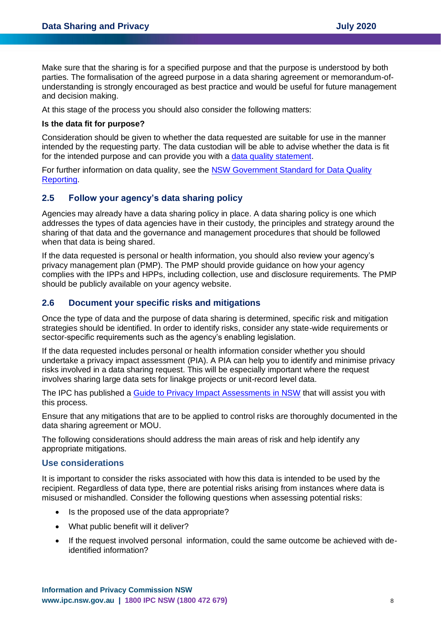Make sure that the sharing is for a specified purpose and that the purpose is understood by both parties. The formalisation of the agreed purpose in a data sharing agreement or memorandum-ofunderstanding is strongly encouraged as best practice and would be useful for future management and decision making.

At this stage of the process you should also consider the following matters:

#### **Is the data fit for purpose?**

Consideration should be given to whether the data requested are suitable for use in the manner intended by the requesting party. The data custodian will be able to advise whether the data is fit for the intended purpose and can provide you with a [data quality statement.](https://www.digital.nsw.gov.au/data-quality-tool/identify)

For further information on data quality, see the NSW Government Standard for Data Quality [Reporting.](https://www.digital.nsw.gov.au/sites/default/files/NSW%20Standard%20for%20Data%20Quality%20Reporting%20v1.2%20FINAL.pdf)

#### **2.5 Follow your agency's data sharing policy**

Agencies may already have a data sharing policy in place. A data sharing policy is one which addresses the types of data agencies have in their custody, the principles and strategy around the sharing of that data and the governance and management procedures that should be followed when that data is being shared.

If the data requested is personal or health information, you should also review your agency's privacy management plan (PMP). The PMP should provide guidance on how your agency complies with the IPPs and HPPs, including collection, use and disclosure requirements. The PMP should be publicly available on your agency website.

#### **2.6 Document your specific risks and mitigations**

Once the type of data and the purpose of data sharing is determined, specific risk and mitigation strategies should be identified. In order to identify risks, consider any state-wide requirements or sector-specific requirements such as the agency's enabling legislation.

If the data requested includes personal or health information consider whether you should undertake a privacy impact assessment (PIA). A PIA can help you to identify and minimise privacy risks involved in a data sharing request. This will be especially important where the request involves sharing large data sets for linakge projects or unit-record level data.

The IPC has published a [Guide to Privacy Impact Assessments in NSW](https://www.ipc.nsw.gov.au/guide-privacy-impact-assessments-nsw) that will assist you with this process.

Ensure that any mitigations that are to be applied to control risks are thoroughly documented in the data sharing agreement or MOU.

The following considerations should address the main areas of risk and help identify any appropriate mitigations.

#### **Use considerations**

It is important to consider the risks associated with how this data is intended to be used by the recipient. Regardless of data type, there are potential risks arising from instances where data is misused or mishandled. Consider the following questions when assessing potential risks:

- Is the proposed use of the data appropriate?
- What public benefit will it deliver?
- If the request involved personal information, could the same outcome be achieved with deidentified information?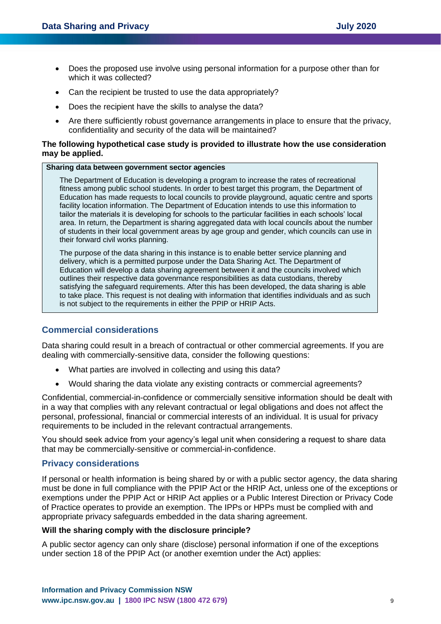- Does the proposed use involve using personal information for a purpose other than for which it was collected?
- Can the recipient be trusted to use the data appropriately?
- Does the recipient have the skills to analyse the data?
- Are there sufficiently robust governance arrangements in place to ensure that the privacy, confidentiality and security of the data will be maintained?

#### **The following hypothetical case study is provided to illustrate how the use consideration may be applied.**

#### **Sharing data between government sector agencies**

The Department of Education is developing a program to increase the rates of recreational fitness among public school students. In order to best target this program, the Department of Education has made requests to local councils to provide playground, aquatic centre and sports facility location information. The Department of Education intends to use this information to tailor the materials it is developing for schools to the particular facilities in each schools' local area. In return, the Department is sharing aggregated data with local councils about the number of students in their local government areas by age group and gender, which councils can use in their forward civil works planning.

The purpose of the data sharing in this instance is to enable better service planning and delivery, which is a permitted purpose under the Data Sharing Act. The Department of Education will develop a data sharing agreement between it and the councils involved which outlines their respective data govenrnance responsibilities as data custodians, thereby satisfying the safeguard requirements. After this has been developed, the data sharing is able to take place. This request is not dealing with information that identifies individuals and as such is not subject to the requirements in either the PPIP or HRIP Acts.

### **Commercial considerations**

Data sharing could result in a breach of contractual or other commercial agreements. If you are dealing with commercially-sensitive data, consider the following questions:

- What parties are involved in collecting and using this data?
- Would sharing the data violate any existing contracts or commercial agreements?

Confidential, commercial-in-confidence or commercially sensitive information should be dealt with in a way that complies with any relevant contractual or legal obligations and does not affect the personal, professional, financial or commercial interests of an individual. It is usual for privacy requirements to be included in the relevant contractual arrangements.

You should seek advice from your agency's legal unit when considering a request to share data that may be commercially-sensitive or commercial-in-confidence.

### **Privacy considerations**

If personal or health information is being shared by or with a public sector agency, the data sharing must be done in full compliance with the PPIP Act or the HRIP Act, unless one of the exceptions or exemptions under the PPIP Act or HRIP Act applies or a Public Interest Direction or Privacy Code of Practice operates to provide an exemption. The IPPs or HPPs must be complied with and appropriate privacy safeguards embedded in the data sharing agreement.

#### **Will the sharing comply with the disclosure principle?**

A public sector agency can only share (disclose) personal information if one of the exceptions under section 18 of the PPIP Act (or another exemtion under the Act) applies: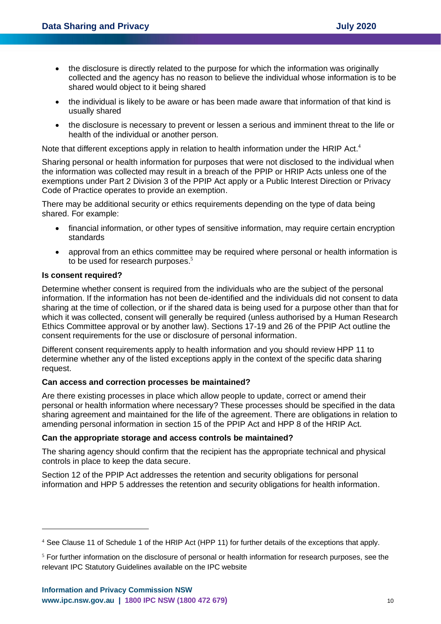- the disclosure is directly related to the purpose for which the information was originally collected and the agency has no reason to believe the individual whose information is to be shared would object to it being shared
- the individual is likely to be aware or has been made aware that information of that kind is usually shared
- the disclosure is necessary to prevent or lessen a serious and imminent threat to the life or health of the individual or another person.

Note that different exceptions apply in relation to health information under the HRIP Act.<sup>4</sup>

Sharing personal or health information for purposes that were not disclosed to the individual when the information was collected may result in a breach of the PPIP or HRIP Acts unless one of the exemptions under Part 2 Division 3 of the PPIP Act apply or a Public Interest Direction or Privacy Code of Practice operates to provide an exemption.

There may be additional security or ethics requirements depending on the type of data being shared. For example:

- financial information, or other types of sensitive information, may require certain encryption standards
- approval from an ethics committee may be required where personal or health information is to be used for research purposes.<sup>5</sup>

#### **Is consent required?**

Determine whether consent is required from the individuals who are the subject of the personal information. If the information has not been de-identified and the individuals did not consent to data sharing at the time of collection, or if the shared data is being used for a purpose other than that for which it was collected, consent will generally be required (unless authorised by a Human Research Ethics Committee approval or by another law). Sections 17-19 and 26 of the PPIP Act outline the consent requirements for the use or disclosure of personal information.

Different consent requirements apply to health information and you should review HPP 11 to determine whether any of the listed exceptions apply in the context of the specific data sharing request.

### **Can access and correction processes be maintained?**

Are there existing processes in place which allow people to update, correct or amend their personal or health information where necessary? These processes should be specified in the data sharing agreement and maintained for the life of the agreement. There are obligations in relation to amending personal information in section 15 of the PPIP Act and HPP 8 of the HRIP Act.

#### **Can the appropriate storage and access controls be maintained?**

The sharing agency should confirm that the recipient has the appropriate technical and physical controls in place to keep the data secure.

Section 12 of the PPIP Act addresses the retention and security obligations for personal information and HPP 5 addresses the retention and security obligations for health information.

<sup>4</sup> See Clause 11 of Schedule 1 of the HRIP Act (HPP 11) for further details of the exceptions that apply.

<sup>&</sup>lt;sup>5</sup> For further information on the disclosure of personal or health information for research purposes, see the relevant IPC Statutory Guidelines available on the IPC website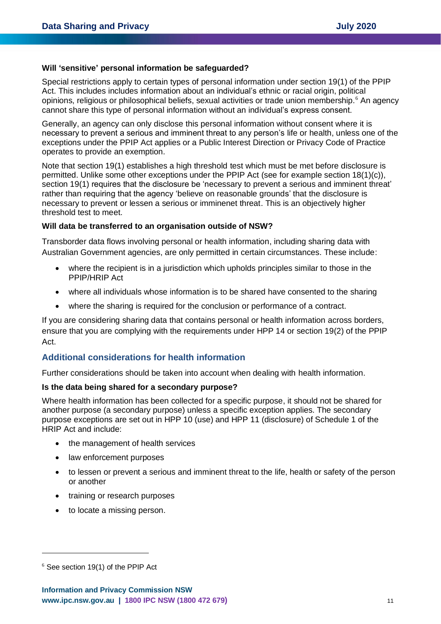#### **Will 'sensitive' personal information be safeguarded?**

Special restrictions apply to certain types of personal information under section 19(1) of the PPIP Act. This includes includes information about an individual's ethnic or racial origin, political opinions, religious or philosophical beliefs, sexual activities or trade union membership.<sup>6</sup> An agency cannot share this type of personal information without an individual's express consent.

Generally, an agency can only disclose this personal information without consent where it is necessary to prevent a serious and imminent threat to any person's life or health, unless one of the exceptions under the PPIP Act applies or a Public Interest Direction or Privacy Code of Practice operates to provide an exemption.

Note that section 19(1) establishes a high threshold test which must be met before disclosure is permitted. Unlike some other exceptions under the PPIP Act (see for example section 18(1)(c)), section 19(1) requires that the disclosure be 'necessary to prevent a serious and imminent threat' rather than requiring that the agency 'believe on reasonable grounds' that the disclosure is necessary to prevent or lessen a serious or imminenet threat. This is an objectively higher threshold test to meet.

#### **Will data be transferred to an organisation outside of NSW?**

Transborder data flows involving personal or health information, including sharing data with Australian Government agencies, are only permitted in certain circumstances. These include:

- where the recipient is in a jurisdiction which upholds principles similar to those in the PPIP/HRIP Act
- where all individuals whose information is to be shared have consented to the sharing
- where the sharing is required for the conclusion or performance of a contract.

If you are considering sharing data that contains personal or health information across borders, ensure that you are complying with the requirements under HPP 14 or section 19(2) of the PPIP Act.

# **Additional considerations for health information**

Further considerations should be taken into account when dealing with health information.

#### **Is the data being shared for a secondary purpose?**

Where health information has been collected for a specific purpose, it should not be shared for another purpose (a secondary purpose) unless a specific exception applies. The secondary purpose exceptions are set out in HPP 10 (use) and HPP 11 (disclosure) of Schedule 1 of the HRIP Act and include:

- the management of health services
- law enforcement purposes
- to lessen or prevent a serious and imminent threat to the life, health or safety of the person or another
- training or research purposes
- to locate a missing person.

 $6$  See section 19(1) of the PPIP Act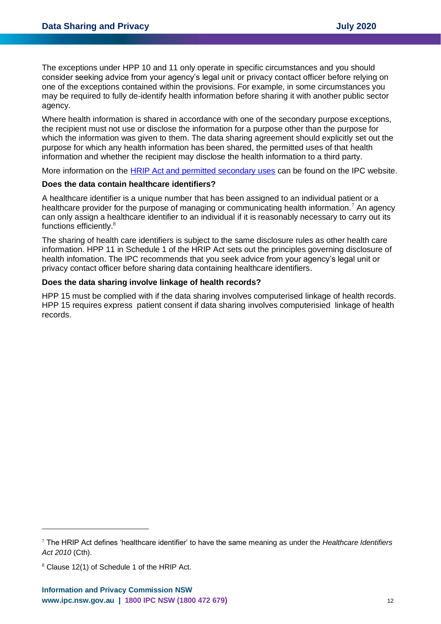The exceptions under HPP 10 and 11 only operate in specific circumstances and you should consider seeking advice from your agency's legal unit or privacy contact officer before relying on one of the exceptions contained within the provisions. For example, in some circumstances you may be required to fully de-identify health information before sharing it with another public sector agency.

Where health information is shared in accordance with one of the secondary purpose exceptions, the recipient must not use or disclose the information for a purpose other than the purpose for which the information was given to them. The data sharing agreement should explicitly set out the purpose for which any health information has been shared, the permitted uses of that health information and whether the recipient may disclose the health information to a third party.

More information on the [HRIP Act and permitted secondary uses](https://www.ipc.nsw.gov.au/privacy/privacy-resources-private-nsw-health-service-providers) can be found on the IPC website.

#### **Does the data contain healthcare identifiers?**

A healthcare identifier is a unique number that has been assigned to an individual patient or a healthcare provider for the purpose of managing or communicating health information.<sup>7</sup> An agency can only assign a healthcare identifier to an individual if it is reasonably necessary to carry out its functions efficiently.<sup>8</sup>

The sharing of health care identifiers is subject to the same disclosure rules as other health care information. HPP 11 in Schedule 1 of the HRIP Act sets out the principles governing disclosure of health infomation. The IPC recommends that you seek advice from your agency's legal unit or privacy contact officer before sharing data containing healthcare identifiers.

#### **Does the data sharing involve linkage of health records?**

HPP 15 must be complied with if the data sharing involves computerised linkage of health records. HPP 15 requires express patient consent if data sharing involves computerisied linkage of health records.

<sup>7</sup> The HRIP Act defines 'healthcare identifier' to have the same meaning as under the *Healthcare Identifiers Act 2010* (Cth).

<sup>8</sup> Clause 12(1) of Schedule 1 of the HRIP Act.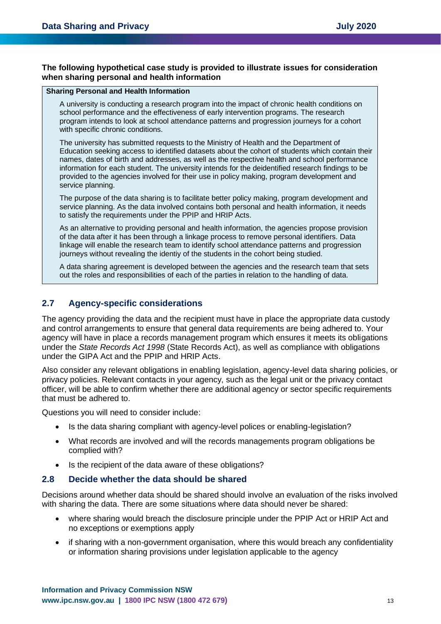#### **The following hypothetical case study is provided to illustrate issues for consideration when sharing personal and health information**

#### **Sharing Personal and Health Information**

A university is conducting a research program into the impact of chronic health conditions on school performance and the effectiveness of early intervention programs. The research program intends to look at school attendance patterns and progression journeys for a cohort with specific chronic conditions.

The university has submitted requests to the Ministry of Health and the Department of Education seeking access to identified datasets about the cohort of students which contain their names, dates of birth and addresses, as well as the respective health and school performance information for each student. The university intends for the deidentified research findings to be provided to the agencies involved for their use in policy making, program development and service planning.

The purpose of the data sharing is to facilitate better policy making, program development and service planning. As the data involved contains both personal and health information, it needs to satisfy the requirements under the PPIP and HRIP Acts.

As an alternative to providing personal and health information, the agencies propose provision of the data after it has been through a linkage process to remove personal identifiers. Data linkage will enable the research team to identify school attendance patterns and progression journeys without revealing the identiy of the students in the cohort being studied.

A data sharing agreement is developed between the agencies and the research team that sets out the roles and responsibilities of each of the parties in relation to the handling of data.

# **2.7 Agency-specific considerations**

The agency providing the data and the recipient must have in place the appropriate data custody and control arrangements to ensure that general data requirements are being adhered to. Your agency will have in place a records management program which ensures it meets its obligations under the *State Records Act 1998* (State Records Act), as well as compliance with obligations under the GIPA Act and the PPIP and HRIP Acts.

Also consider any relevant obligations in enabling legislation, agency-level data sharing policies, or privacy policies. Relevant contacts in your agency, such as the legal unit or the privacy contact officer, will be able to confirm whether there are additional agency or sector specific requirements that must be adhered to.

Questions you will need to consider include:

- Is the data sharing compliant with agency-level polices or enabling-legislation?
- What records are involved and will the records managements program obligations be complied with?
- Is the recipient of the data aware of these obligations?

#### **2.8 Decide whether the data should be shared**

Decisions around whether data should be shared should involve an evaluation of the risks involved with sharing the data. There are some situations where data should never be shared:

- where sharing would breach the disclosure principle under the PPIP Act or HRIP Act and no exceptions or exemptions apply
- if sharing with a non-government organisation, where this would breach any confidentiality or information sharing provisions under legislation applicable to the agency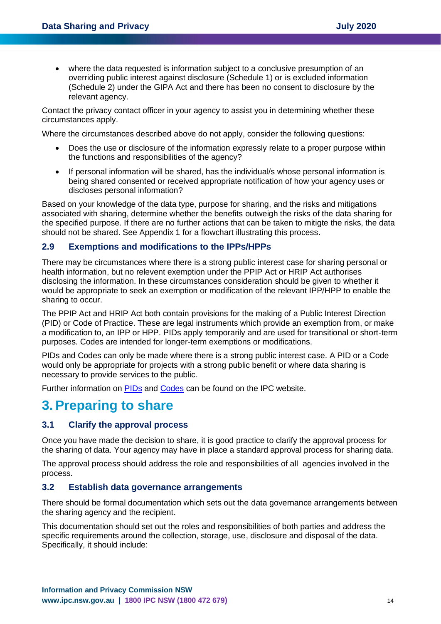• where the data requested is information subject to a conclusive presumption of an overriding public interest against disclosure (Schedule 1) or is excluded information (Schedule 2) under the GIPA Act and there has been no consent to disclosure by the relevant agency.

Contact the privacy contact officer in your agency to assist you in determining whether these circumstances apply.

Where the circumstances described above do not apply, consider the following questions:

- Does the use or disclosure of the information expressly relate to a proper purpose within the functions and responsibilities of the agency?
- If personal information will be shared, has the individual/s whose personal information is being shared consented or received appropriate notification of how your agency uses or discloses personal information?

Based on your knowledge of the data type, purpose for sharing, and the risks and mitigations associated with sharing, determine whether the benefits outweigh the risks of the data sharing for the specified purpose. If there are no further actions that can be taken to mitigte the risks, the data should not be shared. See Appendix 1 for a flowchart illustrating this process.

# **2.9 Exemptions and modifications to the IPPs/HPPs**

There may be circumstances where there is a strong public interest case for sharing personal or health information, but no relevent exemption under the PPIP Act or HRIP Act authorises disclosing the information. In these circumstances consideration should be given to whether it would be appropriate to seek an exemption or modification of the relevant IPP/HPP to enable the sharing to occur.

The PPIP Act and HRIP Act both contain provisions for the making of a Public Interest Direction (PID) or Code of Practice. These are legal instruments which provide an exemption from, or make a modification to, an IPP or HPP. PIDs apply temporarily and are used for transitional or short-term purposes. Codes are intended for longer-term exemptions or modifications.

PIDs and Codes can only be made where there is a strong public interest case. A PID or a Code would only be appropriate for projects with a strong public benefit or where data sharing is necessary to provide services to the public.

Further information on [PIDs](https://www.ipc.nsw.gov.au/privacy/nsw-privacy-laws/public-interest-directions) and [Codes](https://www.ipc.nsw.gov.au/privacy/nsw-privacy-laws/privacy-codes-practice) can be found on the IPC website.

# <span id="page-13-0"></span>**3.Preparing to share**

# **3.1 Clarify the approval process**

Once you have made the decision to share, it is good practice to clarify the approval process for the sharing of data. Your agency may have in place a standard approval process for sharing data.

The approval process should address the role and responsibilities of all agencies involved in the process.

### **3.2 Establish data governance arrangements**

There should be formal documentation which sets out the data governance arrangements between the sharing agency and the recipient.

This documentation should set out the roles and responsibilities of both parties and address the specific requirements around the collection, storage, use, disclosure and disposal of the data. Specifically, it should include: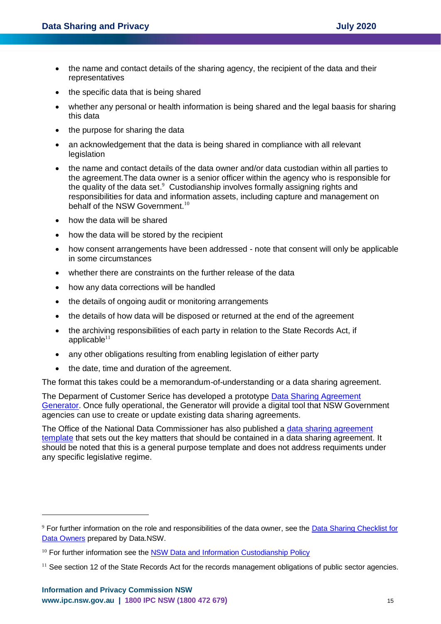- the name and contact details of the sharing agency, the recipient of the data and their representatives
- the specific data that is being shared
- whether any personal or health information is being shared and the legal baasis for sharing this data
- the purpose for sharing the data
- an acknowledgement that the data is being shared in compliance with all relevant **legislation**
- the name and contact details of the data owner and/or data custodian within all parties to the agreement.The data owner is a senior officer within the agency who is responsible for the quality of the data set.<sup>9</sup> Custodianship involves formally assigning rights and responsibilities for data and information assets, including capture and management on behalf of the NSW Government.<sup>10</sup>
- how the data will be shared
- how the data will be stored by the recipient
- how consent arrangements have been addressed note that consent will only be applicable in some circumstances
- whether there are constraints on the further release of the data
- how any data corrections will be handled
- the details of ongoing audit or monitoring arrangements
- the details of how data will be disposed or returned at the end of the agreement
- the archiving responsibilities of each party in relation to the State Records Act, if applicable $11$
- any other obligations resulting from enabling legislation of either party
- the date, time and duration of the agreement.

The format this takes could be a memorandum-of-understanding or a data sharing agreement.

The Deparment of Customer Serice has developed a prototype [Data Sharing Agreement](https://data.nsw.gov.au/data-sharing-agreement-generator-prototype-v2)  [Generator.](https://data.nsw.gov.au/data-sharing-agreement-generator-prototype-v2) Once fully operational, the Generator will provide a digital tool that NSW Government agencies can use to create or update existing data sharing agreements.

The Office of the National Data Commissioner has also published a [data sharing agreement](https://www.datacommissioner.gov.au/resources/draft-data-sharing-agreement-template)  [template](https://www.datacommissioner.gov.au/resources/draft-data-sharing-agreement-template) that sets out the key matters that should be contained in a data sharing agreement. It should be noted that this is a general purpose template and does not address requiments under any specific legislative regime.

<sup>9</sup> For further information on the role and responsibilities of the data owner, see th[e Data Sharing Checklist for](https://data.nsw.gov.au/data-sharing-checklist-data-owners)  [Data Owners](https://data.nsw.gov.au/data-sharing-checklist-data-owners) prepared by Data.NSW.

 $10$  For further information see the [NSW Data and Information Custodianship Policy](https://www.digital.nsw.gov.au/sites/default/files/NSW%20Data%20and%20Information%20Custodianship%20Policy%20v1-0.pdf)

<sup>&</sup>lt;sup>11</sup> See section 12 of the State Records Act for the records management obligations of public sector agencies.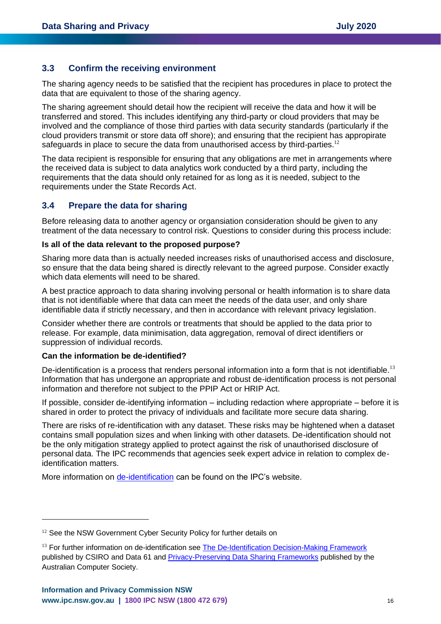### **3.3 Confirm the receiving environment**

The sharing agency needs to be satisfied that the recipient has procedures in place to protect the data that are equivalent to those of the sharing agency.

The sharing agreement should detail how the recipient will receive the data and how it will be transferred and stored. This includes identifying any third-party or cloud providers that may be involved and the compliance of those third parties with data security standards (particularly if the cloud providers transmit or store data off shore); and ensuring that the recipient has appropirate safeguards in place to secure the data from unauthorised access by third-parties.<sup>12</sup>

The data recipient is responsible for ensuring that any obligations are met in arrangements where the received data is subject to data analytics work conducted by a third party, including the requirements that the data should only retained for as long as it is needed, subject to the requirements under the State Records Act.

# **3.4 Prepare the data for sharing**

Before releasing data to another agency or organsiation consideration should be given to any treatment of the data necessary to control risk. Questions to consider during this process include:

#### **Is all of the data relevant to the proposed purpose?**

Sharing more data than is actually needed increases risks of unauthorised access and disclosure, so ensure that the data being shared is directly relevant to the agreed purpose. Consider exactly which data elements will need to be shared.

A best practice approach to data sharing involving personal or health information is to share data that is not identifiable where that data can meet the needs of the data user, and only share identifiable data if strictly necessary, and then in accordance with relevant privacy legislation.

Consider whether there are controls or treatments that should be applied to the data prior to release. For example, data minimisation, data aggregation, removal of direct identifiers or suppression of individual records.

### **Can the information be de-identified?**

De-identification is a process that renders personal information into a form that is not identifiable.<sup>13</sup> Information that has undergone an appropriate and robust de-identification process is not personal information and therefore not subject to the PPIP Act or HRIP Act.

If possible, consider de-identifying information – including redaction where appropriate – before it is shared in order to protect the privacy of individuals and facilitate more secure data sharing.

There are risks of re-identification with any dataset. These risks may be hightened when a dataset contains small population sizes and when linking with other datasets. De-identification should not be the only mitigation strategy applied to protect against the risk of unauthorised disclosure of personal data. The IPC recommends that agencies seek expert advice in relation to complex deidentification matters.

More information on [de-identification](https://www.ipc.nsw.gov.au/fact-sheet-de-identification-personal-information) can be found on the IPC's website.

<sup>&</sup>lt;sup>12</sup> See the NSW Government Cyber Security Policy for further details on

<sup>&</sup>lt;sup>13</sup> For further information on de-identification see [The De-Identification Decision-Making Framework](https://publications.csiro.au/rpr/download?pid=csiro:EP173122&dsid=DS3) published by CSIRO and Data 61 and [Privacy-Preserving Data Sharing Frameworks](https://www.acs.org.au/insightsandpublications/reports-publications/privacy-preserving-data-sharing-frameworks.html) published by the Australian Computer Society.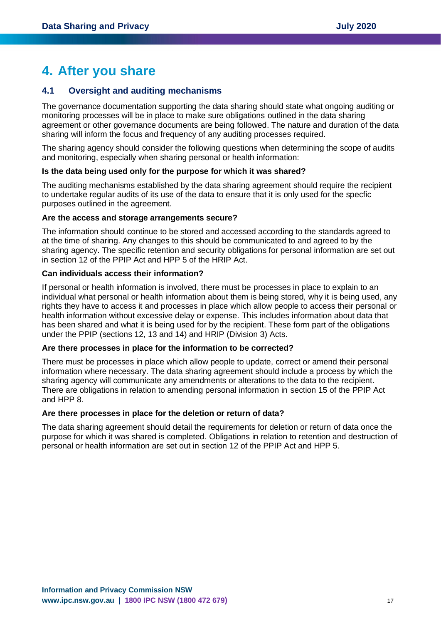# <span id="page-16-0"></span>**4. After you share**

# **4.1 Oversight and auditing mechanisms**

The governance documentation supporting the data sharing should state what ongoing auditing or monitoring processes will be in place to make sure obligations outlined in the data sharing agreement or other governance documents are being followed. The nature and duration of the data sharing will inform the focus and frequency of any auditing processes required.

The sharing agency should consider the following questions when determining the scope of audits and monitoring, especially when sharing personal or health information:

#### **Is the data being used only for the purpose for which it was shared?**

The auditing mechanisms established by the data sharing agreement should require the recipient to undertake regular audits of its use of the data to ensure that it is only used for the specfic purposes outlined in the agreement.

#### **Are the access and storage arrangements secure?**

The information should continue to be stored and accessed according to the standards agreed to at the time of sharing. Any changes to this should be communicated to and agreed to by the sharing agency. The specific retention and security obligations for personal information are set out in section 12 of the PPIP Act and HPP 5 of the HRIP Act.

# **Can individuals access their information?**

If personal or health information is involved, there must be processes in place to explain to an individual what personal or health information about them is being stored, why it is being used, any rights they have to access it and processes in place which allow people to access their personal or health information without excessive delay or expense. This includes information about data that has been shared and what it is being used for by the recipient. These form part of the obligations under the PPIP (sections 12, 13 and 14) and HRIP (Division 3) Acts.

#### **Are there processes in place for the information to be corrected?**

There must be processes in place which allow people to update, correct or amend their personal information where necessary. The data sharing agreement should include a process by which the sharing agency will communicate any amendments or alterations to the data to the recipient. There are obligations in relation to amending personal information in section 15 of the PPIP Act and HPP 8.

#### **Are there processes in place for the deletion or return of data?**

The data sharing agreement should detail the requirements for deletion or return of data once the purpose for which it was shared is completed. Obligations in relation to retention and destruction of personal or health information are set out in section 12 of the PPIP Act and HPP 5.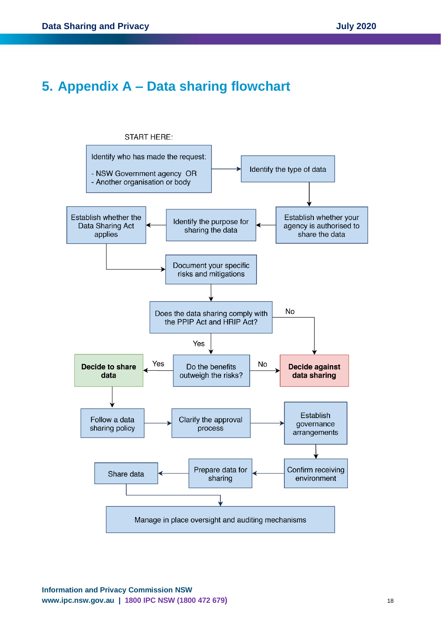# <span id="page-17-0"></span>**5. Appendix A – Data sharing flowchart**